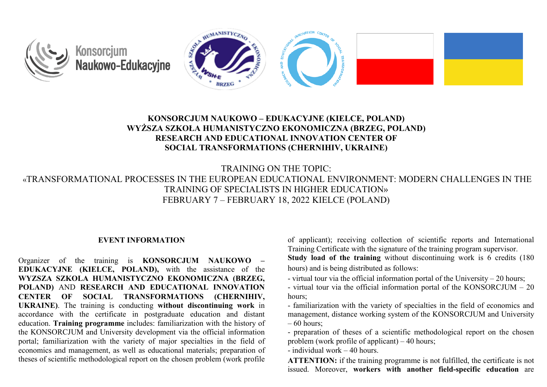

# **KONSORCJUM NAUKOWO – EDUKACYJNE (KIELCE, POLAND) WYŻSZA SZKOŁA HUMANISTYCZNO EKONOMICZNA (BRZEG, POLAND) RESEARCH AND EDUCATIONAL INNOVATION CENTER OF SOCIAL TRANSFORMATIONS (CHERNIHIV, UKRAINE)**

TRAINING ON THE TOPIC:

«TRANSFORMATIONAL PROCESSES IN THE EUROPEAN EDUCATIONAL ENVIRONMENT: MODERN CHALLENGES IN THE TRAINING OF SPECIALISTS IN HIGHER EDUCATION» FEBRUARY 7 – FEBRUARY 18, 2022 KIELCE (POLAND)

#### **EVENT INFORMATION**

Organizer of the training is **KONSORCJUM NAUKOWO – EDUKACYJNE (KIELCE, POLAND),** with the assistance of the **WYZSZA SZKOLA HUMANISTYCZNO EKONOMICZNA (BRZEG, POLAND)** AND **RESEARCH AND EDUCATIONAL INNOVATION CENTER OF SOCIAL TRANSFORMATIONS (CHERNIHIV, UKRAINE)**. The training is conducting **without discontinuing work** in accordance with the certificate in postgraduate education and distant education. **Training programme** includes: familiarization with the history of the KONSORCJUM and University development via the official information portal; familiarization with the variety of major specialties in the field of economics and management, as well as educational materials; preparation of theses of scientific methodological report on the chosen problem (work profile

of applicant); receiving collection of scientific reports and International Training Certificate with the signature of the training program supervisor. **Study load of the training** without discontinuing work is 6 credits (180 hours) and is being distributed as follows:

- virtual tour via the official information portal of the University 20 hours;
- virtual tour via the official information portal of the KONSORCJUM 20 hours;
- familiarization with the variety of specialties in the field of economics and management, distance working system of the KONSORCJUM and University – 60 hours;

- preparation of theses of a scientific methodological report on the chosen problem (work profile of applicant) – 40 hours;

- individual work – 40 hours.

**ATTENTION:** if the training programme is not fulfilled, the certificate is not issued. Moreover, **workers with another field-specific education** are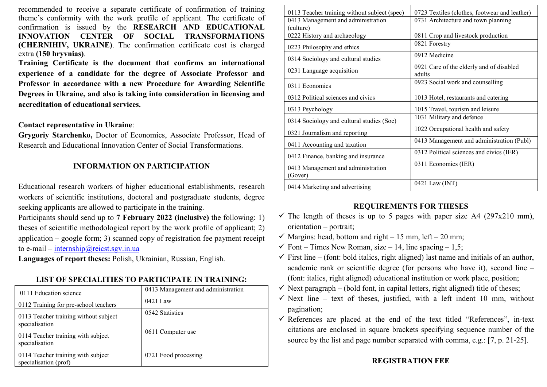recommended to receive a separate certificate of confirmation of training theme's conformity with the work profile of applicant. The certificate of confirmation is issued by the **RESEARCH AND EDUCATIONAL INNOVATION CENTER OF SOCIAL TRANSFORMATIONS (CHERNIHIV, UKRAINE)**. The confirmation certificate cost is charged extra **(150 hryvnias)**.

**Training Certificate is the document that confirms an international experience of a candidate for the degree of Associate Professor and Professor in accordance with a new Procedure for Awarding Scientific Degrees in Ukraine, and also is taking into consideration in licensing and accreditation of educational services.**

#### **Contact representative in Ukraine**:

**Grygoriy Starchenko,** Doctor of Economics, Associate Professor, Head of Research and Educational Innovation Center of Social Transformations.

#### **INFORMATION ON PARTICIPATION**

Educational research workers of higher educational establishments, research workers of scientific institutions, doctoral and postgraduate students, degree seeking applicants are allowed to participate in the training.

Participants should send up to **7 February 2022 (inclusive)** the following: 1) theses of scientific methodological report by the work profile of applicant; 2) application – google form; 3) scanned copy of registration fee payment receipt to e-mail – internship[@reicst.sgv.in.ua](mailto:%D1%96nternship@reicst.sgv.in.ua)

**Languages of report theses:** Polish, Ukrainian, Russian, English.

#### **LIST OF SPECIALITIES TO PARTICIPATE IN TRAINING:**

| 0111 Education science                                      | 0413 Management and administration |
|-------------------------------------------------------------|------------------------------------|
| 0112 Training for pre-school teachers                       | 0421 Law                           |
| 0113 Teacher training without subject<br>specialisation     | 0542 Statistics                    |
| 0114 Teacher training with subject<br>specialisation        | 0611 Computer use                  |
| 0114 Teacher training with subject<br>specialisation (prof) | 0721 Food processing               |

| 0113 Teacher training without subject (spec)  | 0723 Textiles (clothes, footwear and leather)      |  |
|-----------------------------------------------|----------------------------------------------------|--|
| 0413 Management and administration            | 0731 Architecture and town planning                |  |
| (culture)                                     |                                                    |  |
| 0222 History and archaeology                  | 0811 Crop and livestock production                 |  |
| 0223 Philosophy and ethics                    | 0821 Forestry                                      |  |
| 0314 Sociology and cultural studies           | 0912 Medicine                                      |  |
| 0231 Language acquisition                     | 0921 Care of the elderly and of disabled<br>adults |  |
| 0311 Economics                                | 0923 Social work and counselling                   |  |
| 0312 Political sciences and civics            | 1013 Hotel, restaurants and catering               |  |
| 0313 Psychology                               | 1015 Travel, tourism and leisure                   |  |
| 0314 Sociology and cultural studies (Soc)     | 1031 Military and defence                          |  |
| 0321 Journalism and reporting                 | 1022 Occupational health and safety                |  |
| 0411 Accounting and taxation                  | 0413 Management and administration (Publ)          |  |
| 0412 Finance, banking and insurance           | 0312 Political sciences and civics (IER)           |  |
| 0413 Management and administration<br>(Gover) | 0311 Economics (IER)                               |  |
| 0414 Marketing and advertising                | 0421 Law (INT)                                     |  |

### **REQUIREMENTS FOR THESES**

- $\checkmark$  The length of theses is up to 5 pages with paper size A4 (297x210 mm), orientation – portrait;
- $\checkmark$  Margins: head, bottom and right 15 mm, left 20 mm;
- $\checkmark$  Font Times New Roman, size 14, line spacing 1,5;
- $\checkmark$  First line (font: bold italics, right aligned) last name and initials of an author, academic rank or scientific degree (for persons who have it), second line – (font: italics, right aligned) educational institution or work place, position;
- $\checkmark$  Next paragraph (bold font, in capital letters, right aligned) title of theses;
- $\checkmark$  Next line text of theses, justified, with a left indent 10 mm, without pagination;
- $\checkmark$  References are placed at the end of the text titled "References", in-text citations are enclosed in square brackets specifying sequence number of the source by the list and page number separated with comma, e.g.: [7, p. 21-25].

### **REGISTRATION FEE**